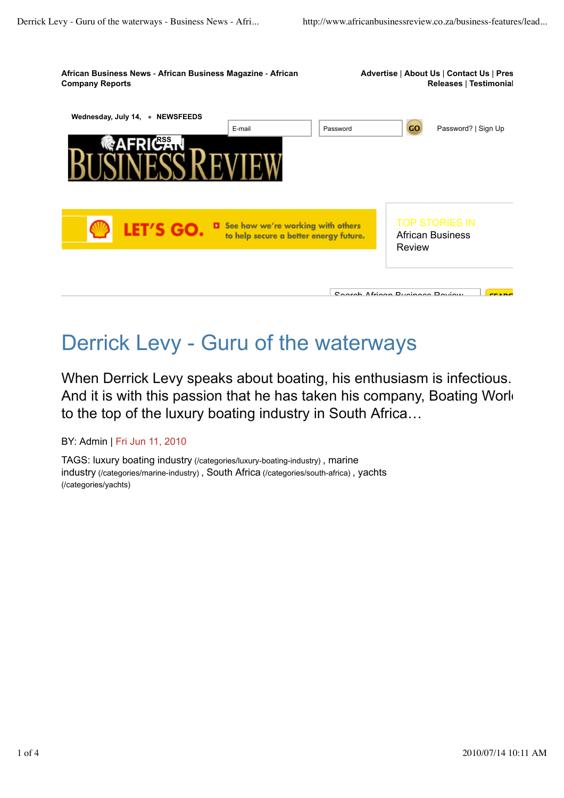

## Derrick Levy - Guru of the waterways

When Derrick Levy speaks about boating, his enthusiasm is infectious. And it is with this passion that he has taken his company, Boating Work to the top of the luxury boating industry in South Africa…

BY: Admin | Fri Jun 11, 2010

TAGS: luxury boating industry (/categories/luxury-boating-industry) , marine industry (/categories/marine-industry) , South Africa (/categories/south-africa) , yachts (/categories/yachts)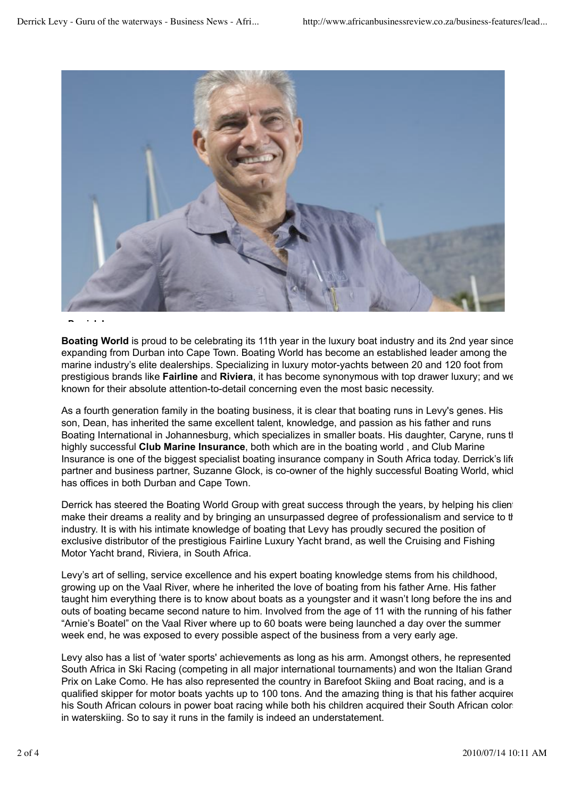

## **Derrick Levy**

**Boating World** is proud to be celebrating its 11th year in the luxury boat industry and its 2nd year since expanding from Durban into Cape Town. Boating World has become an established leader among the marine industry's elite dealerships. Specializing in luxury motor-yachts between 20 and 120 foot from prestigious brands like **Fairline** and **Riviera**, it has become synonymous with top drawer luxury; and well known for their absolute attention-to-detail concerning even the most basic necessity.

As a fourth generation family in the boating business, it is clear that boating runs in Levy's genes. His son, Dean, has inherited the same excellent talent, knowledge, and passion as his father and runs Boating International in Johannesburg, which specializes in smaller boats. His daughter, Caryne, runs the highly successful **Club Marine Insurance**, both which are in the boating world , and Club Marine Insurance is one of the biggest specialist boating insurance company in South Africa today. Derrick's life partner and business partner, Suzanne Glock, is co-owner of the highly successful Boating World, whicl has offices in both Durban and Cape Town.

Derrick has steered the Boating World Group with great success through the years, by helping his clients make their dreams a reality and by bringing an unsurpassed degree of professionalism and service to the industry. It is with his intimate knowledge of boating that Levy has proudly secured the position of exclusive distributor of the prestigious Fairline Luxury Yacht brand, as well the Cruising and Fishing Motor Yacht brand, Riviera, in South Africa.

Levy's art of selling, service excellence and his expert boating knowledge stems from his childhood, growing up on the Vaal River, where he inherited the love of boating from his father Arne. His father taught him everything there is to know about boats as a youngster and it wasn't long before the ins and outs of boating became second nature to him. Involved from the age of 11 with the running of his father "Arnie's Boatel" on the Vaal River where up to 60 boats were being launched a day over the summer week end, he was exposed to every possible aspect of the business from a very early age.

Levy also has a list of 'water sports' achievements as long as his arm. Amongst others, he represented South Africa in Ski Racing (competing in all major international tournaments) and won the Italian Grand Prix on Lake Como. He has also represented the country in Barefoot Skiing and Boat racing, and is a qualified skipper for motor boats yachts up to 100 tons. And the amazing thing is that his father acquired his South African colours in power boat racing while both his children acquired their South African colors in waterskiing. So to say it runs in the family is indeed an understatement.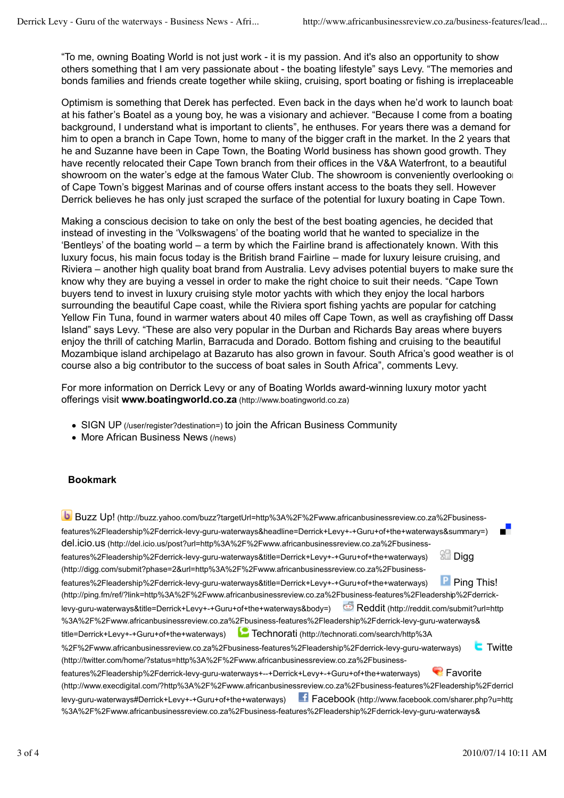"To me, owning Boating World is not just work - it is my passion. And it's also an opportunity to show others something that I am very passionate about - the boating lifestyle" says Levy. "The memories and bonds families and friends create together while skiing, cruising, sport boating or fishing is irreplaceable

Optimism is something that Derek has perfected. Even back in the days when he'd work to launch boat at his father's Boatel as a young boy, he was a visionary and achiever. "Because I come from a boating background, I understand what is important to clients", he enthuses. For years there was a demand for him to open a branch in Cape Town, home to many of the bigger craft in the market. In the 2 years that he and Suzanne have been in Cape Town, the Boating World business has shown good growth. They have recently relocated their Cape Town branch from their offices in the V&A Waterfront, to a beautiful showroom on the water's edge at the famous Water Club. The showroom is conveniently overlooking optionof Cape Town's biggest Marinas and of course offers instant access to the boats they sell. However Derrick believes he has only just scraped the surface of the potential for luxury boating in Cape Town.

Making a conscious decision to take on only the best of the best boating agencies, he decided that instead of investing in the 'Volkswagens' of the boating world that he wanted to specialize in the 'Bentleys' of the boating world – a term by which the Fairline brand is affectionately known. With this luxury focus, his main focus today is the British brand Fairline – made for luxury leisure cruising, and Riviera – another high quality boat brand from Australia. Levy advises potential buyers to make sure the know why they are buying a vessel in order to make the right choice to suit their needs. "Cape Town buyers tend to invest in luxury cruising style motor yachts with which they enjoy the local harbors surrounding the beautiful Cape coast, while the Riviera sport fishing yachts are popular for catching Yellow Fin Tuna, found in warmer waters about 40 miles off Cape Town, as well as crayfishing off Dasse Island" says Levy. "These are also very popular in the Durban and Richards Bay areas where buyers enjoy the thrill of catching Marlin, Barracuda and Dorado. Bottom fishing and cruising to the beautiful Mozambique island archipelago at Bazaruto has also grown in favour. South Africa's good weather is of course also a big contributor to the success of boat sales in South Africa", comments Levy.

For more information on Derrick Levy or any of Boating Worlds award-winning luxury motor yacht offerings visit **www.boatingworld.co.za** (http://www.boatingworld.co.za)

- SIGN UP (/user/register?destination=) to join the African Business Community
- More African Business News (/news)

## **Bookmark**

 Buzz Up! (http://buzz.yahoo.com/buzz?targetUrl=http%3A%2F%2Fwww.africanbusinessreview.co.za%2Fbusinessfeatures%2Fleadership%2Fderrick-levy-guru-waterways&headline=Derrick+Levy+-+Guru+of+the+waterways&summary=) del.icio.us (http://del.icio.us/post?url=http%3A%2F%2Fwww.africanbusinessreview.co.za%2Fbusinessfeatures%2Fleadership%2Fderrick-levy-guru-waterways&title=Derrick+Levy+-+Guru+of+the+waterways) Digg (http://digg.com/submit?phase=2&url=http%3A%2F%2Fwww.africanbusinessreview.co.za%2Fbusinessfeatures%2Fleadership%2Fderrick-levy-guru-waterways&title=Derrick+Levy+-+Guru+of+the+waterways) Ping This! (http://ping.fm/ref/?link=http%3A%2F%2Fwww.africanbusinessreview.co.za%2Fbusiness-features%2Fleadership%2Fderricklevy-guru-waterways&title=Derrick+Levy+-+Guru+of+the+waterways&body=) Reddit (http://reddit.com/submit?url=http %3A%2F%2Fwww.africanbusinessreview.co.za%2Fbusiness-features%2Fleadership%2Fderrick-levy-guru-waterways& title=Derrick+Levy+-+Guru+of+the+waterways) Technorati (http://technorati.com/search/http%3A %2F%2Fwww.africanbusinessreview.co.za%2Fbusiness-features%2Fleadership%2Fderrick-levy-guru-waterways) **Twitte** (http://twitter.com/home/?status=http%3A%2F%2Fwww.africanbusinessreview.co.za%2Fbusinessfeatures%2Fleadership%2Fderrick-levy-guru-waterways+--+Derrick+Levy+-+Guru+of+the+waterways) Favorite (http://www.execdigital.com/?http%3A%2F%2Fwww.africanbusinessreview.co.za%2Fbusiness-features%2Fleadership%2Fderricklevy-guru-waterways#Derrick+Levy+-+Guru+of+the+waterways) Fracebook (http://www.facebook.com/sharer.php?u=httr %3A%2F%2Fwww.africanbusinessreview.co.za%2Fbusiness-features%2Fleadership%2Fderrick-levy-guru-waterways&